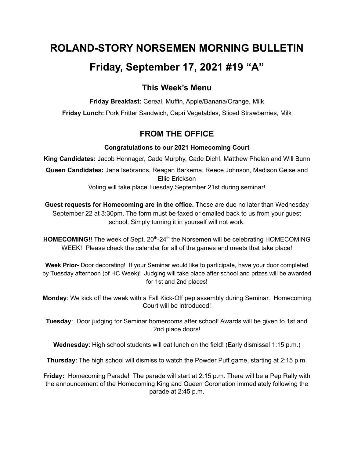# **ROLAND-STORY NORSEMEN MORNING BULLETIN**

# **Friday, September 17, 2021 #19 "A"**

## **This Week's Menu**

**Friday Breakfast:** Cereal, Muffin, Apple/Banana/Orange, Milk **Friday Lunch:** Pork Fritter Sandwich, Capri Vegetables, Sliced Strawberries, Milk

## **FROM THE OFFICE**

## **Congratulations to our 2021 Homecoming Court**

**King Candidates:** Jacob Hennager, Cade Murphy, Cade Diehl, Matthew Phelan and Will Bunn

**Queen Candidates:** Jana Isebrands, Reagan Barkema, Reece Johnson, Madison Geise and Ellie Erickson

Voting will take place Tuesday September 21st during seminar!

**Guest requests for Homecoming are in the office.** These are due no later than Wednesday September 22 at 3:30pm. The form must be faxed or emailed back to us from your guest school. Simply turning it in yourself will not work.

HOMECOMING!! The week of Sept. 20<sup>th</sup>-24<sup>th</sup> the Norsemen will be celebrating HOMECOMING WEEK! Please check the calendar for all of the games and meets that take place!

**Week Prior**- Door decorating! If your Seminar would like to participate, have your door completed by Tuesday afternoon (of HC Week)! Judging will take place after school and prizes will be awarded for 1st and 2nd places!

**Monday**: We kick off the week with a Fall Kick-Off pep assembly during Seminar. Homecoming Court will be introduced!

**Tuesday**: Door judging for Seminar homerooms after school! Awards will be given to 1st and 2nd place doors!

**Wednesday**: High school students will eat lunch on the field! (Early dismissal 1:15 p.m.)

**Thursday**: The high school will dismiss to watch the Powder Puff game, starting at 2:15 p.m.

**Friday:** Homecoming Parade! The parade will start at 2:15 p.m. There will be a Pep Rally with the announcement of the Homecoming King and Queen Coronation immediately following the parade at 2:45 p.m.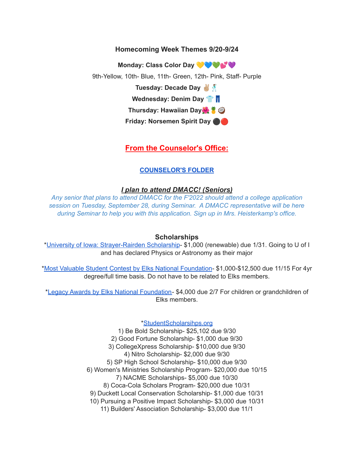### **Homecoming Week Themes 9/20-9/24**

**Monday: Class Color Day**

9th-Yellow, 10th- Blue, 11th- Green, 12th- Pink, Staff- Purple

**Tuesday: Decade Day**

**Wednesday: Denim Day**

**Thursday: Hawaiian Day**

**Friday: Norsemen Spirit Day** ⚫️

## **From the Counselor's Office:**

#### **[COUNSELOR'S](https://docs.google.com/document/d/1vmwczNPbDzXe9vFaG5LJMQ7NYDv-i4oQJHybqA65TUc/edit?usp=sharing) FOLDER**

#### *I plan to attend DMACC! (Seniors)*

*Any senior that plans to attend DMACC for the F'2022 should attend a college application session on Tuesday, September 28, during Seminar. A DMACC representative will be here during Seminar to help you with this application. Sign up in Mrs. Heisterkamp's office.*

#### **Scholarships**

\*University of Iowa: [Strayer-Rairden](https://drive.google.com/file/d/19dd2KrYVSWYKX2eleClYPvARc5_M10rR/view?usp=sharing) Scholarship- \$1,000 (renewable) due 1/31. Going to U of I and has declared Physics or Astronomy as their major

\*Most Valuable Student Contest by Elks National [Foundation](https://www.elks.org/scholars/scholarships/mvs.cfm)- \$1,000-\$12,500 due 11/15 For 4yr degree/full time basis. Do not have to be related to Elks members.

\*Legacy Awards by Elks National [Foundation-](https://www.elks.org/scholars/scholarships/Legacy.cfm) \$4,000 due 2/7 For children or grandchildren of Elks members.

[\\*StudentScholarsihps.org](https://drive.google.com/file/d/15_QGMs4o4nf-uHxHY58Ue31_w-7Qw42k/view?usp=sharing)

1) Be Bold Scholarship- \$25,102 due 9/30 2) Good Fortune Scholarship- \$1,000 due 9/30 3) CollegeXpress Scholarship- \$10,000 due 9/30 4) Nitro Scholarship- \$2,000 due 9/30 5) SP High School Scholarship- \$10,000 due 9/30 6) Women's Ministries Scholarship Program- \$20,000 due 10/15 7) NACME Scholarships- \$5,000 due 10/30 8) Coca-Cola Scholars Program- \$20,000 due 10/31 9) Duckett Local Conservation Scholarship- \$1,000 due 10/31 10) Pursuing a Positive Impact Scholarship- \$3,000 due 10/31 11) Builders' Association Scholarship- \$3,000 due 11/1